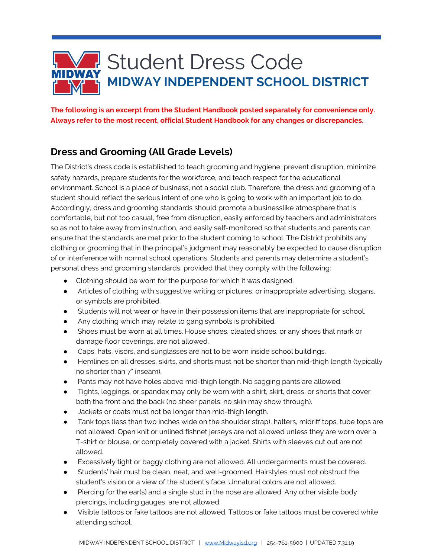

**The following is an excerpt from the Student Handbook posted separately for convenience only. Always refer to the most recent, official Student Handbook for any changes or discrepancies.**

## **Dress and Grooming (All Grade Levels)**

The District's dress code is established to teach grooming and hygiene, prevent disruption, minimize safety hazards, prepare students for the workforce, and teach respect for the educational environment. School is a place of business, not a social club. Therefore, the dress and grooming of a student should reflect the serious intent of one who is going to work with an important job to do. Accordingly, dress and grooming standards should promote a businesslike atmosphere that is comfortable, but not too casual, free from disruption, easily enforced by teachers and administrators so as not to take away from instruction, and easily self-monitored so that students and parents can ensure that the standards are met prior to the student coming to school. The District prohibits any clothing or grooming that in the principal's judgment may reasonably be expected to cause disruption of or interference with normal school operations. Students and parents may determine a student's personal dress and grooming standards, provided that they comply with the following:

- Clothing should be worn for the purpose for which it was designed.
- Articles of clothing with suggestive writing or pictures, or inappropriate advertising, slogans, or symbols are prohibited.
- Students will not wear or have in their possession items that are inappropriate for school.
- Any clothing which may relate to gang symbols is prohibited.
- Shoes must be worn at all times. House shoes, cleated shoes, or any shoes that mark or damage floor coverings, are not allowed.
- Caps, hats, visors, and sunglasses are not to be worn inside school buildings.
- Hemlines on all dresses, skirts, and shorts must not be shorter than mid-thigh length (typically no shorter than 7" inseam).
- Pants may not have holes above mid-thigh length. No sagging pants are allowed.
- Tights, leggings, or spandex may only be worn with a shirt, skirt, dress, or shorts that cover both the front and the back (no sheer panels; no skin may show through).
- Jackets or coats must not be longer than mid-thigh length.
- Tank tops (less than two inches wide on the shoulder strap), halters, midriff tops, tube tops are not allowed. Open knit or unlined fishnet jerseys are not allowed unless they are worn over a T-shirt or blouse, or completely covered with a jacket. Shirts with sleeves cut out are not allowed.
- Excessively tight or baggy clothing are not allowed. All undergarments must be covered.
- Students' hair must be clean, neat, and well-groomed. Hairstyles must not obstruct the student's vision or a view of the student's face. Unnatural colors are not allowed.
- Piercing for the ear(s) and a single stud in the nose are allowed. Any other visible body piercings, including gauges, are not allowed.
- Visible tattoos or fake tattoos are not allowed. Tattoos or fake tattoos must be covered while attending school.